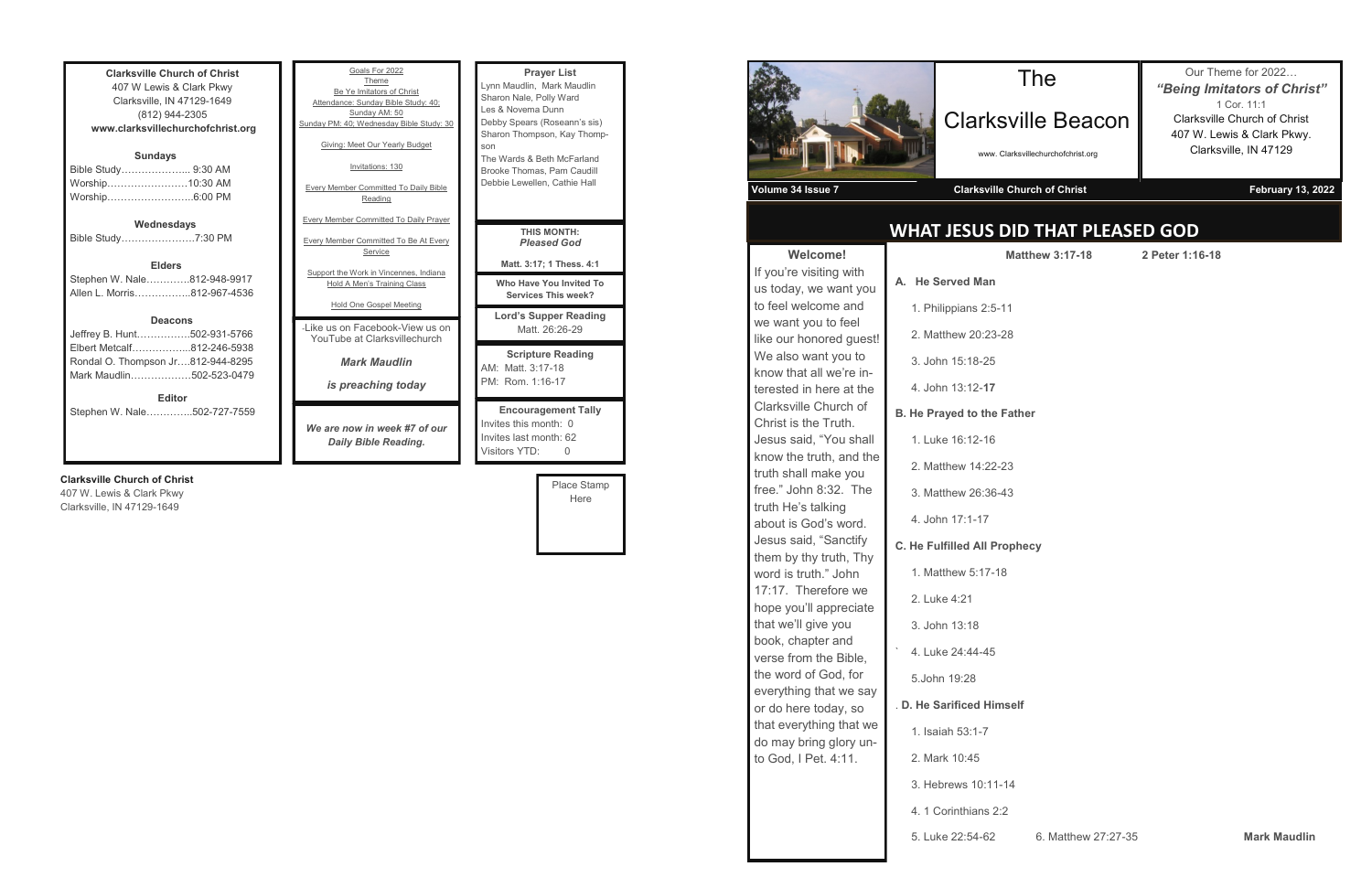**Clarksville Church of Christ** 407 W Lewis & Clark Pkwy Clarksville, IN 47129-1649 (812) 944-2305 **www.clarksvillechurchofchrist.org Sundays** Bible Study………………... 9:30 AM Worship……………………10:30 AM Worship……………………..6:00 PM **Wednesdays** Bible Study………………….7:30 PM **Elders** Stephen W. Nale………….812-948-9917 Allen L. Morris……………..812-967-4536

### **Deacons**

| <b>Editor</b>                     |  |
|-----------------------------------|--|
| Mark Maudlin502-523-0479          |  |
| Rondal O. Thompson Jr812-944-8295 |  |
| Elbert Metcalf812-246-5938        |  |
| Jeffrey B. Hunt502-931-5766       |  |

Stephen W. Nale…………..502-727-7559

## **Clarksville Church of Christ**

407 W. Lewis & Clark Pkwy Clarksville, IN 47129-1649

month:  $0$ month: 62 Visitors YTD: 0 Place Stamp Here



| Goals For 2022<br>Theme<br>Be Ye Imitators of Christ<br>Attendance: Sunday Bible Study: 40:<br>Sunday AM: 50<br>Sunday PM: 40; Wednesday Bible Study: 30<br>Giving: Meet Our Yearly Budget<br>Invitations: 130<br><b>Every Member Committed To Daily Bible</b><br>Reading<br><b>Every Member Committed To Daily Prayer</b> | <b>Prayer List</b><br>Lynn Maudlin, Mark Maudlin<br>Sharon Nale, Polly Ward<br>Les & Novema Dunn<br>Debby Spears (Roseann's sis)<br>Sharon Thompson, Kay Thomp-<br>son<br>The Wards & Beth McFarland<br>Brooke Thomas, Pam Caudill<br>Debbie Lewellen, Cathie Hall |
|----------------------------------------------------------------------------------------------------------------------------------------------------------------------------------------------------------------------------------------------------------------------------------------------------------------------------|--------------------------------------------------------------------------------------------------------------------------------------------------------------------------------------------------------------------------------------------------------------------|
| <b>Every Member Committed To Be At Every</b><br>Service                                                                                                                                                                                                                                                                    | <b>THIS MONTH:</b><br><b>Pleased God</b><br>Matt. 3:17; 1 Thess. 4:1                                                                                                                                                                                               |
| Support the Work in Vincennes, Indiana<br>Hold A Men's Training Class                                                                                                                                                                                                                                                      | Who Have You Invited To<br><b>Services This week?</b>                                                                                                                                                                                                              |
| Hold One Gospel Meeting<br>- like us on Facebook-View us on<br>YouTube at Clarksvillechurch                                                                                                                                                                                                                                | <b>Lord's Supper Reading</b><br>Matt. 26:26-29                                                                                                                                                                                                                     |
| <b>Mark Maudlin</b><br>is preaching today                                                                                                                                                                                                                                                                                  | <b>Scripture Reading</b><br>AM: Matt. 3:17-18<br>PM: Rom. 1:16-17                                                                                                                                                                                                  |
| We are now in week #7 of our<br>Daily Bible Reading.                                                                                                                                                                                                                                                                       | <b>Encouragement Tally</b><br>Invites this month: 0<br>Invites last month: 62                                                                                                                                                                                      |

# **WHAT JESUS DID THAT PLEASED GOD**

| <b>Welcome!</b>                                                                                                                                                                                                                                                                                                                                                                                                                                                                                                                                           | М                                       |
|-----------------------------------------------------------------------------------------------------------------------------------------------------------------------------------------------------------------------------------------------------------------------------------------------------------------------------------------------------------------------------------------------------------------------------------------------------------------------------------------------------------------------------------------------------------|-----------------------------------------|
| If you're visiting with<br>us today, we want you<br>to feel welcome and<br>we want you to feel<br>like our honored guest!<br>We also want you to<br>know that all we're in-                                                                                                                                                                                                                                                                                                                                                                               | A. He Served Man                        |
|                                                                                                                                                                                                                                                                                                                                                                                                                                                                                                                                                           | 1. Philippians 2:5-11                   |
|                                                                                                                                                                                                                                                                                                                                                                                                                                                                                                                                                           | 2. Matthew 20:23-28<br>3. John 15:18-25 |
| terested in here at the                                                                                                                                                                                                                                                                                                                                                                                                                                                                                                                                   | 4. John 13:12-17                        |
| Clarksville Church of<br>Christ is the Truth.<br>Jesus said, "You shall<br>know the truth, and the<br>truth shall make you<br>free." John 8:32. The<br>truth He's talking<br>about is God's word.<br>Jesus said, "Sanctify<br>them by thy truth, Thy<br>word is truth." John<br>17:17. Therefore we<br>hope you'll appreciate<br>that we'll give you<br>book, chapter and<br>verse from the Bible,<br>the word of God, for<br>everything that we say<br>or do here today, so<br>that everything that we<br>do may bring glory un-<br>to God, I Pet. 4:11. | <b>B. He Prayed to the Fat</b>          |
|                                                                                                                                                                                                                                                                                                                                                                                                                                                                                                                                                           | 1. Luke 16:12-16                        |
|                                                                                                                                                                                                                                                                                                                                                                                                                                                                                                                                                           | 2. Matthew 14:22-23                     |
|                                                                                                                                                                                                                                                                                                                                                                                                                                                                                                                                                           | 3. Matthew 26:36-43                     |
|                                                                                                                                                                                                                                                                                                                                                                                                                                                                                                                                                           | 4. John 17:1-17                         |
|                                                                                                                                                                                                                                                                                                                                                                                                                                                                                                                                                           | <b>C. He Fulfilled All Prop</b>         |
|                                                                                                                                                                                                                                                                                                                                                                                                                                                                                                                                                           | 1. Matthew 5:17-18                      |
|                                                                                                                                                                                                                                                                                                                                                                                                                                                                                                                                                           | 2. Luke 4:21                            |
|                                                                                                                                                                                                                                                                                                                                                                                                                                                                                                                                                           | 3. John 13:18                           |
|                                                                                                                                                                                                                                                                                                                                                                                                                                                                                                                                                           | 4. Luke 24:44-45                        |
|                                                                                                                                                                                                                                                                                                                                                                                                                                                                                                                                                           | 5.John 19:28                            |
|                                                                                                                                                                                                                                                                                                                                                                                                                                                                                                                                                           | .D. He Sarificed Himse                  |
|                                                                                                                                                                                                                                                                                                                                                                                                                                                                                                                                                           | 1. Isaiah 53:1-7                        |
|                                                                                                                                                                                                                                                                                                                                                                                                                                                                                                                                                           | 2. Mark 10:45                           |
|                                                                                                                                                                                                                                                                                                                                                                                                                                                                                                                                                           | 3. Hebrews 10:11-14                     |
|                                                                                                                                                                                                                                                                                                                                                                                                                                                                                                                                                           | 4. 1 Corinthians 2:2                    |
|                                                                                                                                                                                                                                                                                                                                                                                                                                                                                                                                                           | 5. Luke 22:54-62                        |
|                                                                                                                                                                                                                                                                                                                                                                                                                                                                                                                                                           |                                         |

# Clarksville Beacon

www. Clarksvillechurchofchrist.org

Our Theme for 2022… *"Being Imitators of Christ"* 1 Cor. 11:1 Clarksville Church of Christ 407 W. Lewis & Clark Pkwy. Clarksville, IN 47129

## **Volume 34 Issue 7 Clarksville Church of Christ February 13, 2022**

**Matthew 3:17-18 2 Peter 1:16-18**

**B**. Father

**phecy** 

self

5. Luke 22:54-62 6. Matthew 27:27-35 **Mark Maudlin**